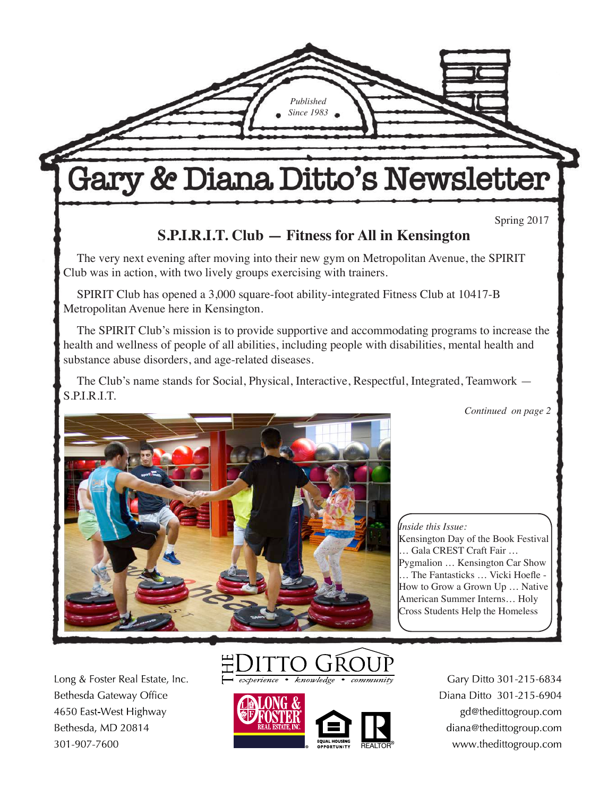Gary & Diana Ditto's Newsletter

*Published Since 1983*

Spring 2017

## **S.P.I.R.I.T. Club — Fitness for All in Kensington**

The very next evening after moving into their new gym on Metropolitan Avenue, the SPIRIT Club was in action, with two lively groups exercising with trainers.

SPIRIT Club has opened a 3,000 square-foot ability-integrated Fitness Club at 10417-B Metropolitan Avenue here in Kensington.

The SPIRIT Club's mission is to provide supportive and accommodating programs to increase the health and wellness of people of all abilities, including people with disabilities, mental health and substance abuse disorders, and age-related diseases.

The Club's name stands for Social, Physical, Interactive, Respectful, Integrated, Teamwork — S.P.I.R.I.T.

*Continued on page 2*



*Inside this Issue:* Kensington Day of the Book Festival … Gala CREST Craft Fair … Pygmalion … Kensington Car Show … The Fantasticks … Vicki Hoefle - How to Grow a Grown Up … Native American Summer Interns… Holy Cross Students Help the Homeless

Kensington Town Hall.

Long & Foster Real Estate, Inc. Bethesda Gateway Office 4650 East-West Highway Bethesda, MD 20814 301-907-7600





Gary Ditto 301-215-6834 Diana Ditto 301-215-6904 gd@thedittogroup.com diana@thedittogroup.com www.thedittogroup.com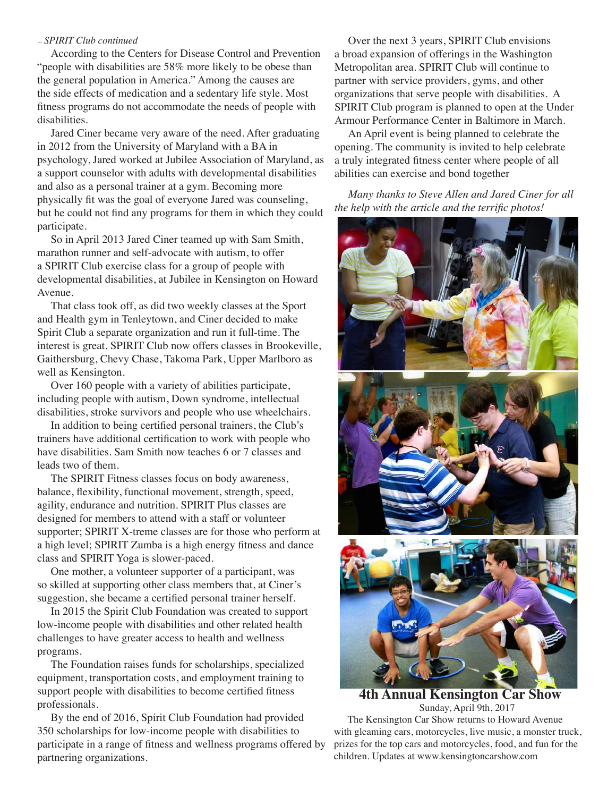#### *— SPIRIT Club continued*

According to the Centers for Disease Control and Prevention "people with disabilities are 58% more likely to be obese than the general population in America." Among the causes are the side effects of medication and a sedentary life style. Most fitness programs do not accommodate the needs of people with disabilities.

Jared Ciner became very aware of the need. After graduating in 2012 from the University of Maryland with a BA in psychology, Jared worked at Jubilee Association of Maryland, as a support counselor with adults with developmental disabilities and also as a personal trainer at a gym. Becoming more physically fit was the goal of everyone Jared was counseling, but he could not find any programs for them in which they could participate.

So in April 2013 Jared Ciner teamed up with Sam Smith, marathon runner and self-advocate with autism, to offer a SPIRIT Club exercise class for a group of people with developmental disabilities, at Jubilee in Kensington on Howard Avenue.

That class took off, as did two weekly classes at the Sport and Health gym in Tenleytown, and Ciner decided to make Spirit Club a separate organization and run it full-time. The interest is great. SPIRIT Club now offers classes in Brookeville, Gaithersburg, Chevy Chase, Takoma Park, Upper Marlboro as well as Kensington.

Over 160 people with a variety of abilities participate, including people with autism, Down syndrome, intellectual disabilities, stroke survivors and people who use wheelchairs.

In addition to being certified personal trainers, the Club's trainers have additional certification to work with people who have disabilities. Sam Smith now teaches 6 or 7 classes and leads two of them.

The SPIRIT Fitness classes focus on body awareness, balance, flexibility, functional movement, strength, speed, agility, endurance and nutrition. SPIRIT Plus classes are designed for members to attend with a staff or volunteer supporter; SPIRIT X-treme classes are for those who perform at a high level; SPIRIT Zumba is a high energy fitness and dance class and SPIRIT Yoga is slower-paced.

One mother, a volunteer supporter of a participant, was so skilled at supporting other class members that, at Ciner's suggestion, she became a certified personal trainer herself.

In 2015 the Spirit Club Foundation was created to support low-income people with disabilities and other related health challenges to have greater access to health and wellness programs.

The Foundation raises funds for scholarships, specialized equipment, transportation costs, and employment training to support people with disabilities to become certified fitness professionals.

By the end of 2016, Spirit Club Foundation had provided 350 scholarships for low-income people with disabilities to participate in a range of fitness and wellness programs offered by partnering organizations.

Over the next 3 years, SPIRIT Club envisions a broad expansion of offerings in the Washington Metropolitan area. SPIRIT Club will continue to partner with service providers, gyms, and other organizations that serve people with disabilities. A SPIRIT Club program is planned to open at the Under Armour Performance Center in Baltimore in March.

An April event is being planned to celebrate the opening. The community is invited to help celebrate a truly integrated fitness center where people of all abilities can exercise and bond together

*Many thanks to Steve Allen and Jared Ciner for all the help with the article and the terrific photos!*



**4th Annual Kensington Car Show** Sunday, April 9th, 2017 The Kensington Car Show returns to Howard Avenue

with gleaming cars, motorcycles, live music, a monster truck, prizes for the top cars and motorcycles, food, and fun for the children. Updates at www.kensingtoncarshow.com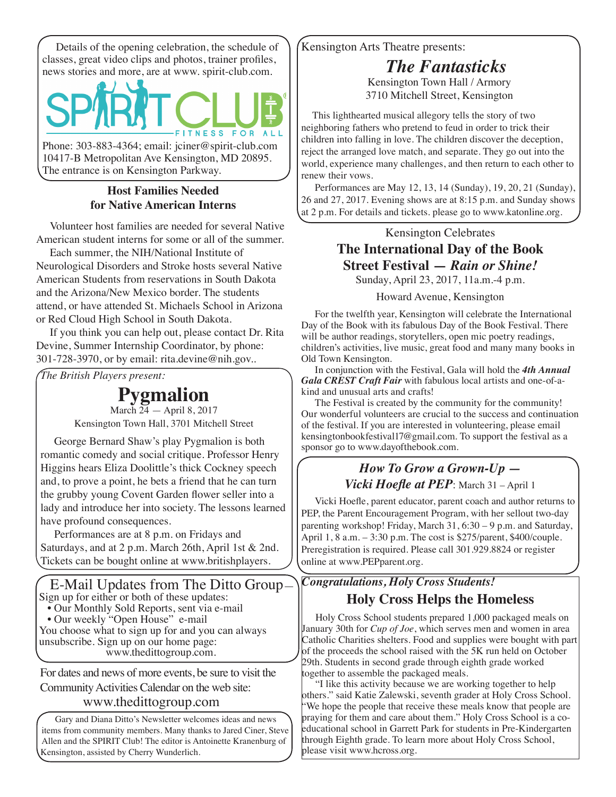Details of the opening celebration, the schedule of classes, great video clips and photos, trainer profiles, news stories and more, are at www. spirit-club.com.



Phone: 303-883-4364; email: jciner@spirit-club.com 10417-B Metropolitan Ave Kensington, MD 20895. The entrance is on Kensington Parkway.

### **Host Families Needed for Native American Interns**

Volunteer host families are needed for several Native American student interns for some or all of the summer.

Each summer, the NIH/National Institute of Neurological Disorders and Stroke hosts several Native American Students from reservations in South Dakota and the Arizona/New Mexico border. The students attend, or have attended St. Michaels School in Arizona or Red Cloud High School in South Dakota.

If you think you can help out, please contact Dr. Rita Devine, Summer Internship Coordinator, by phone: 301-728-3970, or by email: rita.devine@nih.gov..

*The British Players present:*

**Pygmalion**

March 24 — April 8, 2017 Kensington Town Hall, 3701 Mitchell Street

George Bernard Shaw's play Pygmalion is both romantic comedy and social critique. Professor Henry Higgins hears Eliza Doolittle's thick Cockney speech and, to prove a point, he bets a friend that he can turn the grubby young Covent Garden flower seller into a lady and introduce her into society. The lessons learned have profound consequences.

Performances are at 8 p.m. on Fridays and Saturdays, and at 2 p.m. March 26th, April 1st & 2nd. Tickets can be bought online at www.britishplayers.

 E-Mail Updates from The Ditto Group— Sign up for either or both of these updates:

- Our Monthly Sold Reports, sent via e-mail
- Our weekly "Open House" e-mail

You choose what to sign up for and you can always unsubscribe. Sign up on our home page: www.thedittogroup.com.

For dates and news of more events, be sure to visit the Community Activities Calendar on the web site: www.thedittogroup.com

Gary and Diana Ditto's Newsletter welcomes ideas and news items from community members. Many thanks to Jared Ciner, Steve Allen and the SPIRIT Club! The editor is Antoinette Kranenburg of Kensington, assisted by Cherry Wunderlich.

Kensington Arts Theatre presents:

*The Fantasticks*

Kensington Town Hall / Armory 3710 Mitchell Street, Kensington

 This lighthearted musical allegory tells the story of two neighboring fathers who pretend to feud in order to trick their children into falling in love. The children discover the deception, reject the arranged love match, and separate. They go out into the world, experience many challenges, and then return to each other to renew their vows.

Performances are May 12, 13, 14 (Sunday), 19, 20, 21 (Sunday), 26 and 27, 2017. Evening shows are at 8:15 p.m. and Sunday shows at 2 p.m. For details and tickets. please go to www.katonline.org.

Kensington Celebrates

## **The International Day of the Book Street Festival —** *Rain or Shine!*

Sunday, April 23, 2017, 11a.m.-4 p.m.

#### Howard Avenue, Kensington

For the twelfth year, Kensington will celebrate the International Day of the Book with its fabulous Day of the Book Festival. There will be author readings, storytellers, open mic poetry readings, children's activities, live music, great food and many many books in Old Town Kensington.

In conjunction with the Festival, Gala will hold the *4th Annual Gala CREST Craft Fair* with fabulous local artists and one-of-akind and unusual arts and crafts!

The Festival is created by the community for the community! Our wonderful volunteers are crucial to the success and continuation of the festival. If you are interested in volunteering, please email kensingtonbookfestival17@gmail.com. To support the festival as a sponsor go to www.dayofthebook.com.

## *How To Grow a Grown-Up — Vicki Hoefle at PEP*: March 31 – April 1

Vicki Hoefle, parent educator, parent coach and author returns to PEP, the Parent Encouragement Program, with her sellout two-day parenting workshop! Friday, March 31, 6:30 – 9 p.m. and Saturday, April 1, 8 a.m. – 3:30 p.m. The cost is \$275/parent, \$400/couple. Preregistration is required. Please call 301.929.8824 or register online at www.PEPparent.org.

# *Congratulations, Holy Cross Students!*

**Holy Cross Helps the Homeless**

Holy Cross School students prepared 1,000 packaged meals on January 30th for *Cup of Joe*, which serves men and women in area Catholic Charities shelters. Food and supplies were bought with part of the proceeds the school raised with the 5K run held on October 29th. Students in second grade through eighth grade worked together to assemble the packaged meals.

"I like this activity because we are working together to help others." said Katie Zalewski, seventh grader at Holy Cross School. "We hope the people that receive these meals know that people are praying for them and care about them." Holy Cross School is a coeducational school in Garrett Park for students in Pre-Kindergarten through Eighth grade. To learn more about Holy Cross School, please visit www.hcross.org.